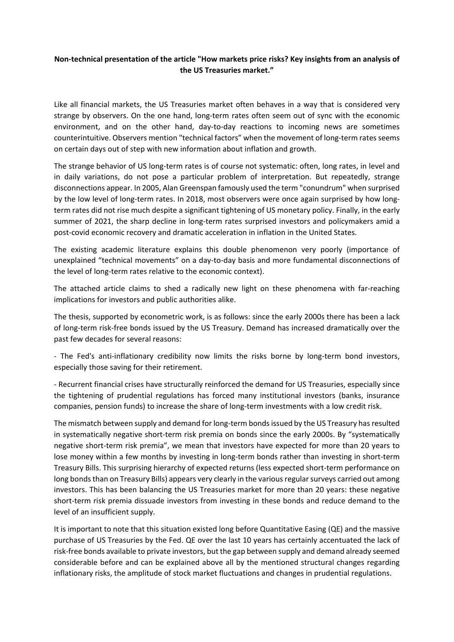## **Non-technical presentation of the article "How markets price risks? Key insights from an analysis of the US Treasuries market."**

Like all financial markets, the US Treasuries market often behaves in a way that is considered very strange by observers. On the one hand, long-term rates often seem out of sync with the economic environment, and on the other hand, day-to-day reactions to incoming news are sometimes counterintuitive. Observers mention "technical factors" when the movement of long-term rates seems on certain days out of step with new information about inflation and growth.

The strange behavior of US long-term rates is of course not systematic: often, long rates, in level and in daily variations, do not pose a particular problem of interpretation. But repeatedly, strange disconnections appear. In 2005, Alan Greenspan famously used the term "conundrum" when surprised by the low level of long-term rates. In 2018, most observers were once again surprised by how longterm rates did not rise much despite a significant tightening of US monetary policy. Finally, in the early summer of 2021, the sharp decline in long-term rates surprised investors and policymakers amid a post-covid economic recovery and dramatic acceleration in inflation in the United States.

The existing academic literature explains this double phenomenon very poorly (importance of unexplained "technical movements" on a day-to-day basis and more fundamental disconnections of the level of long-term rates relative to the economic context).

The attached article claims to shed a radically new light on these phenomena with far-reaching implications for investors and public authorities alike.

The thesis, supported by econometric work, is as follows: since the early 2000s there has been a lack of long-term risk-free bonds issued by the US Treasury. Demand has increased dramatically over the past few decades for several reasons:

- The Fed's anti-inflationary credibility now limits the risks borne by long-term bond investors, especially those saving for their retirement.

- Recurrent financial crises have structurally reinforced the demand for US Treasuries, especially since the tightening of prudential regulations has forced many institutional investors (banks, insurance companies, pension funds) to increase the share of long-term investments with a low credit risk.

The mismatch between supply and demand for long-term bonds issued by the US Treasury has resulted in systematically negative short-term risk premia on bonds since the early 2000s. By "systematically negative short-term risk premia", we mean that investors have expected for more than 20 years to lose money within a few months by investing in long-term bonds rather than investing in short-term Treasury Bills. This surprising hierarchy of expected returns (less expected short-term performance on long bonds than on Treasury Bills) appears very clearly in the various regular surveys carried out among investors. This has been balancing the US Treasuries market for more than 20 years: these negative short-term risk premia dissuade investors from investing in these bonds and reduce demand to the level of an insufficient supply.

It is important to note that this situation existed long before Quantitative Easing (QE) and the massive purchase of US Treasuries by the Fed. QE over the last 10 years has certainly accentuated the lack of risk-free bonds available to private investors, but the gap between supply and demand already seemed considerable before and can be explained above all by the mentioned structural changes regarding inflationary risks, the amplitude of stock market fluctuations and changes in prudential regulations.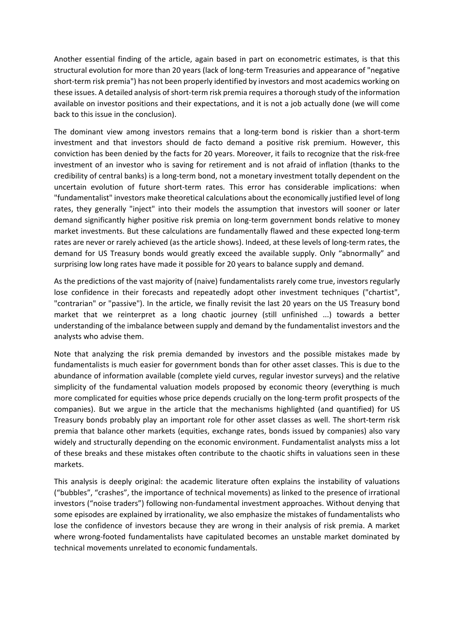Another essential finding of the article, again based in part on econometric estimates, is that this structural evolution for more than 20 years (lack of long-term Treasuries and appearance of "negative short-term risk premia") has not been properly identified by investors and most academics working on these issues. A detailed analysis of short-term risk premia requires a thorough study of the information available on investor positions and their expectations, and it is not a job actually done (we will come back to this issue in the conclusion).

The dominant view among investors remains that a long-term bond is riskier than a short-term investment and that investors should de facto demand a positive risk premium. However, this conviction has been denied by the facts for 20 years. Moreover, it fails to recognize that the risk-free investment of an investor who is saving for retirement and is not afraid of inflation (thanks to the credibility of central banks) is a long-term bond, not a monetary investment totally dependent on the uncertain evolution of future short-term rates. This error has considerable implications: when "fundamentalist" investors make theoretical calculations about the economically justified level of long rates, they generally "inject" into their models the assumption that investors will sooner or later demand significantly higher positive risk premia on long-term government bonds relative to money market investments. But these calculations are fundamentally flawed and these expected long-term rates are never or rarely achieved (as the article shows). Indeed, at these levels of long-term rates, the demand for US Treasury bonds would greatly exceed the available supply. Only "abnormally" and surprising low long rates have made it possible for 20 years to balance supply and demand.

As the predictions of the vast majority of (naive) fundamentalists rarely come true, investors regularly lose confidence in their forecasts and repeatedly adopt other investment techniques ("chartist", "contrarian" or "passive"). In the article, we finally revisit the last 20 years on the US Treasury bond market that we reinterpret as a long chaotic journey (still unfinished ...) towards a better understanding of the imbalance between supply and demand by the fundamentalist investors and the analysts who advise them.

Note that analyzing the risk premia demanded by investors and the possible mistakes made by fundamentalists is much easier for government bonds than for other asset classes. This is due to the abundance of information available (complete yield curves, regular investor surveys) and the relative simplicity of the fundamental valuation models proposed by economic theory (everything is much more complicated for equities whose price depends crucially on the long-term profit prospects of the companies). But we argue in the article that the mechanisms highlighted (and quantified) for US Treasury bonds probably play an important role for other asset classes as well. The short-term risk premia that balance other markets (equities, exchange rates, bonds issued by companies) also vary widely and structurally depending on the economic environment. Fundamentalist analysts miss a lot of these breaks and these mistakes often contribute to the chaotic shifts in valuations seen in these markets.

This analysis is deeply original: the academic literature often explains the instability of valuations ("bubbles", "crashes", the importance of technical movements) as linked to the presence of irrational investors ("noise traders") following non-fundamental investment approaches. Without denying that some episodes are explained by irrationality, we also emphasize the mistakes of fundamentalists who lose the confidence of investors because they are wrong in their analysis of risk premia. A market where wrong-footed fundamentalists have capitulated becomes an unstable market dominated by technical movements unrelated to economic fundamentals.